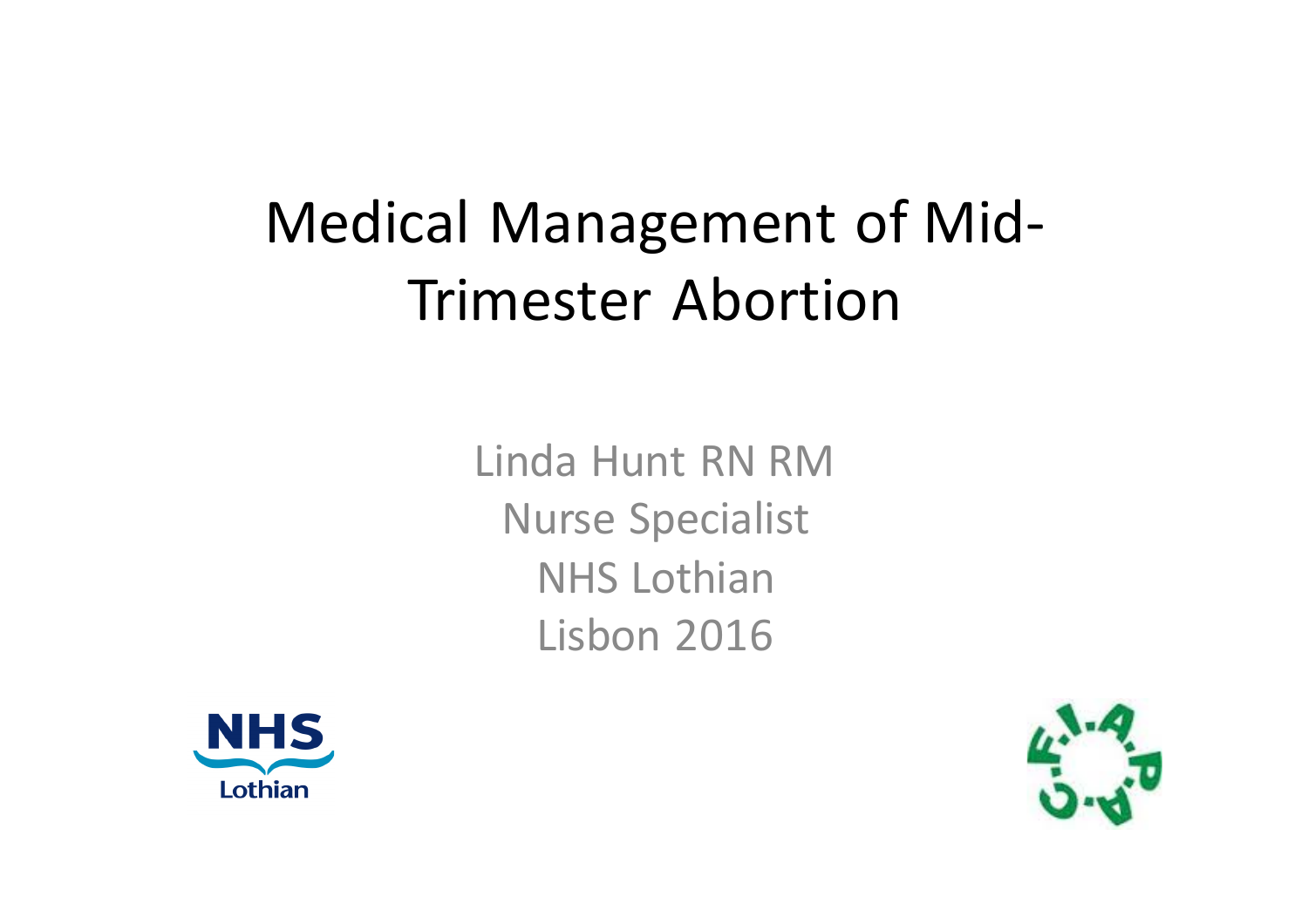#### Medical Management of Mid-Trimester Abortion

Linda Hunt RN RM Nurse Specialist **NHS** Lothian Lisbon 2016



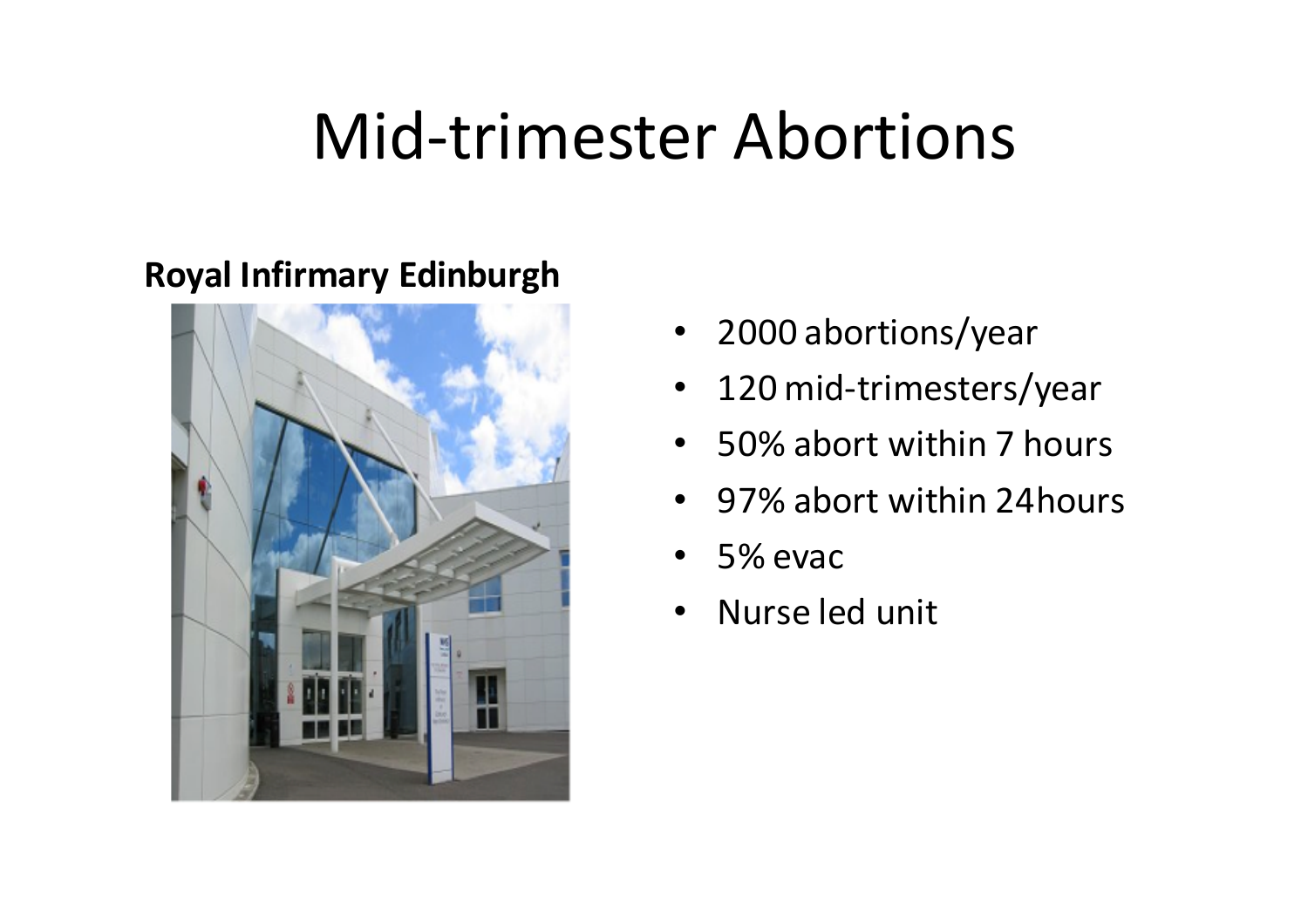#### Mid-trimester Abortions

#### **Royal Infirmary Edinburgh**



- 2000 abortions/year
- 120 mid-trimesters/year
- 50% abort within 7 hours
- 97% abort within 24 hours
- 5% evac
- Nurse led unit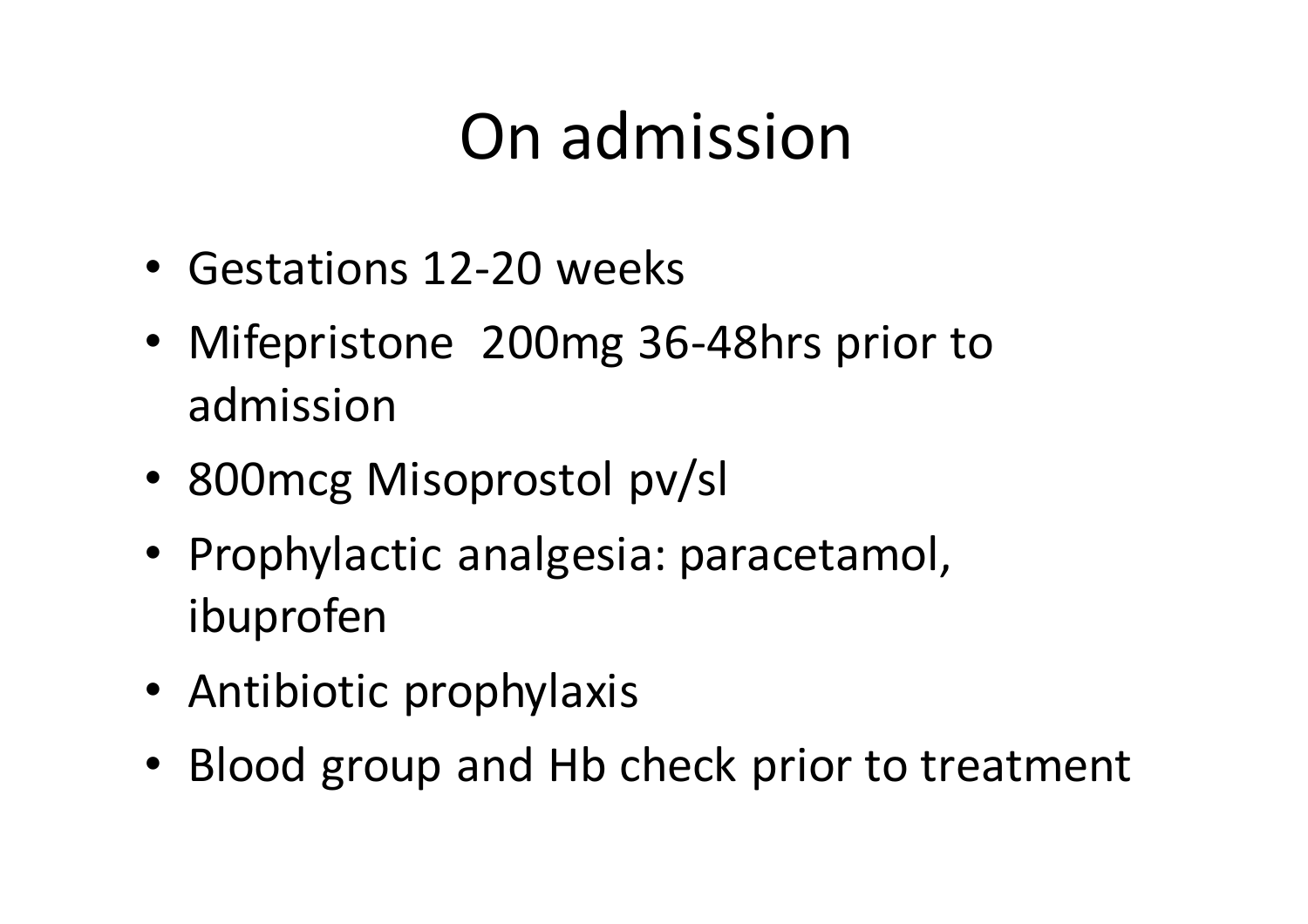#### On admission

- Gestations 12-20 weeks
- Mifepristone 200mg 36-48hrs prior to admission
- 800 mcg Misoprostol pv/sl
- Prophylactic analgesia: paracetamol, ibuprofen
- Antibiotic prophylaxis
- Blood group and Hb check prior to treatment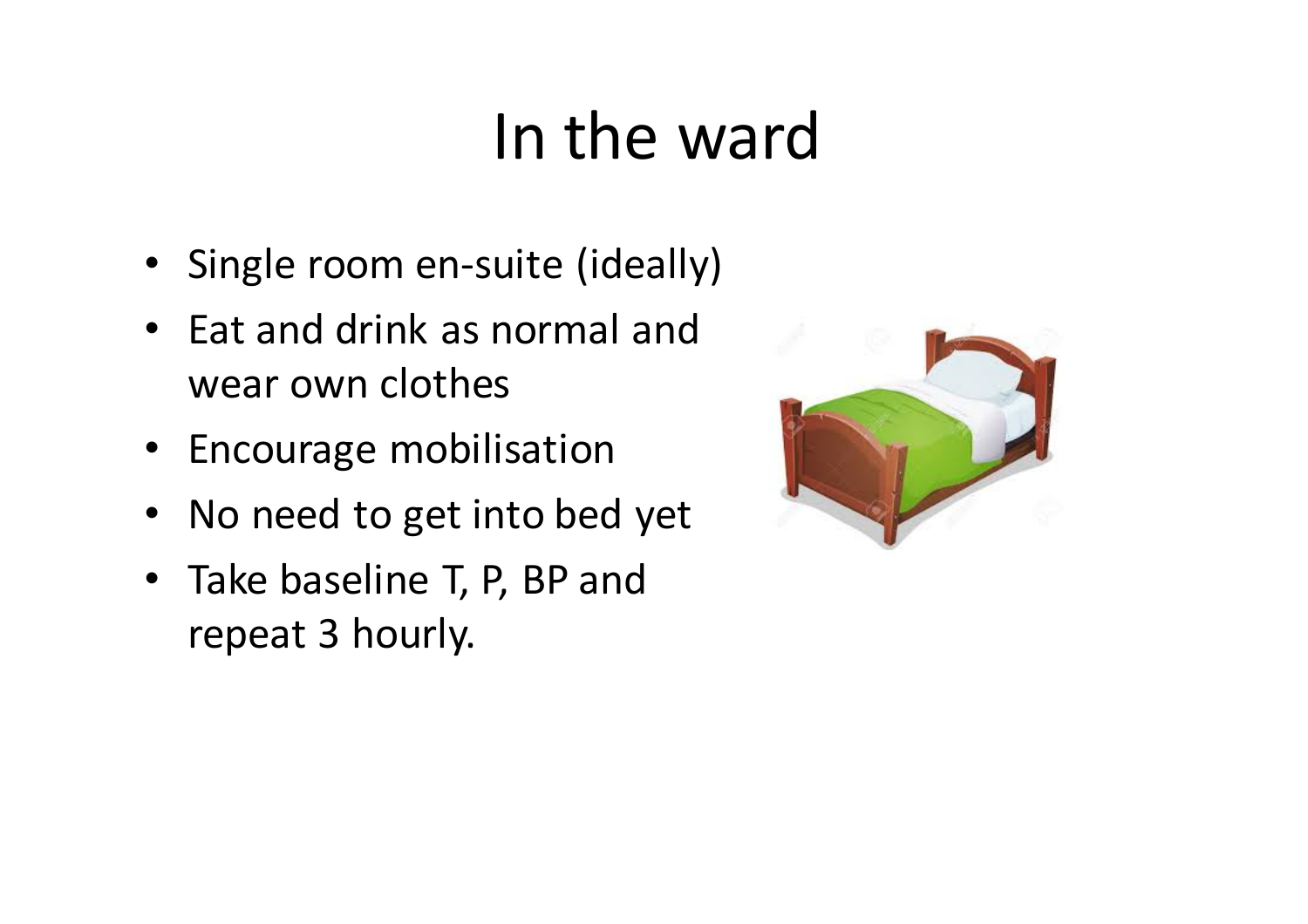#### In the ward

- Single room en-suite (ideally)
- Eat and drink as normal and wear own clothes
- Encourage mobilisation
- No need to get into bed yet
- Take baseline T, P, BP and repeat 3 hourly.

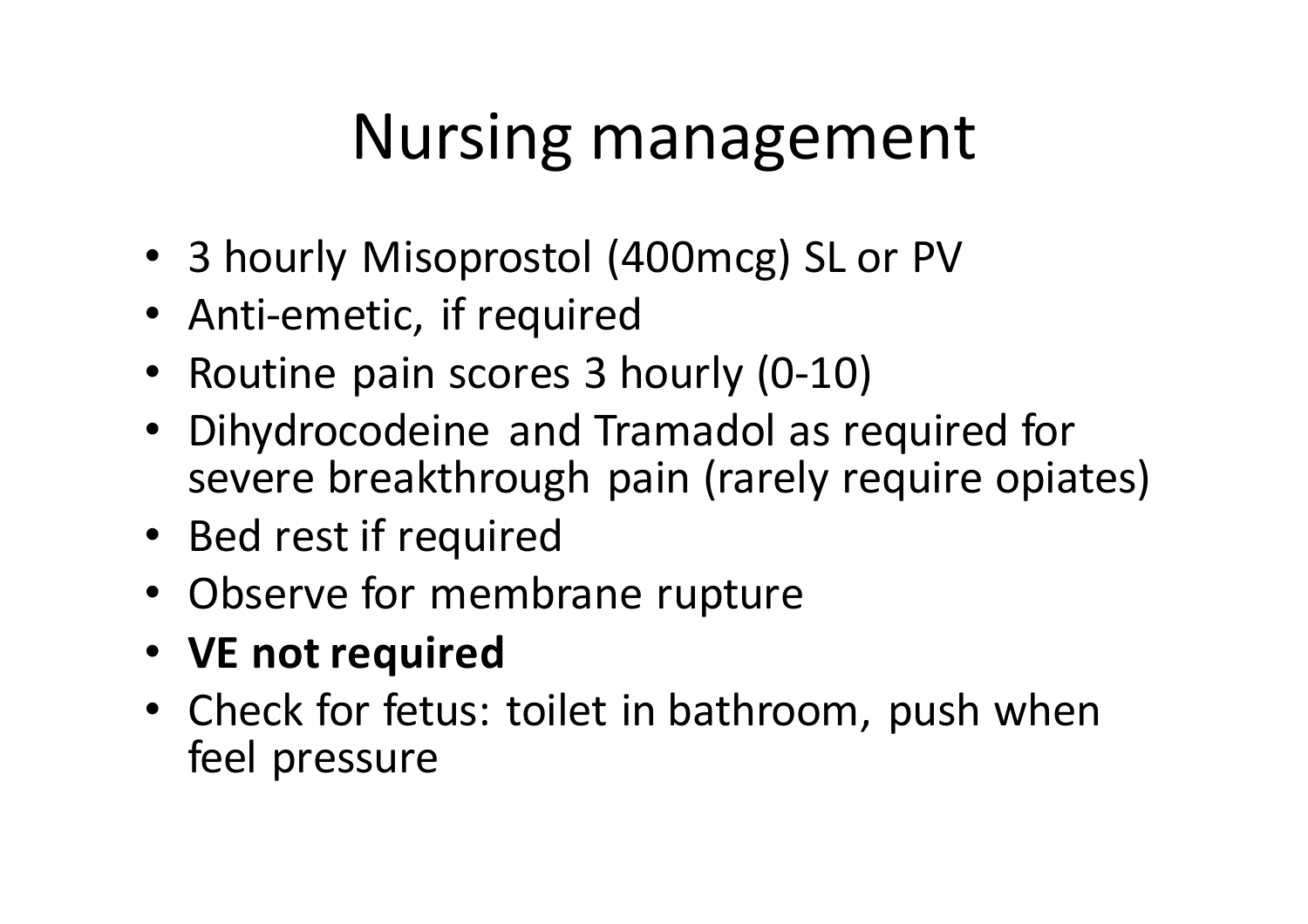#### Nursing management

- 3 hourly Misoprostol (400mcg) SL or PV
- Anti-emetic, if required
- Routine pain scores 3 hourly (0-10)
- Dihydrocodeine and Tramadol as required for severe breakthrough pain (rarely require opiates)
- Bed rest if required
- Observe for membrane rupture
- VE not required
- Check for fetus: toilet in bathroom, push when feel pressure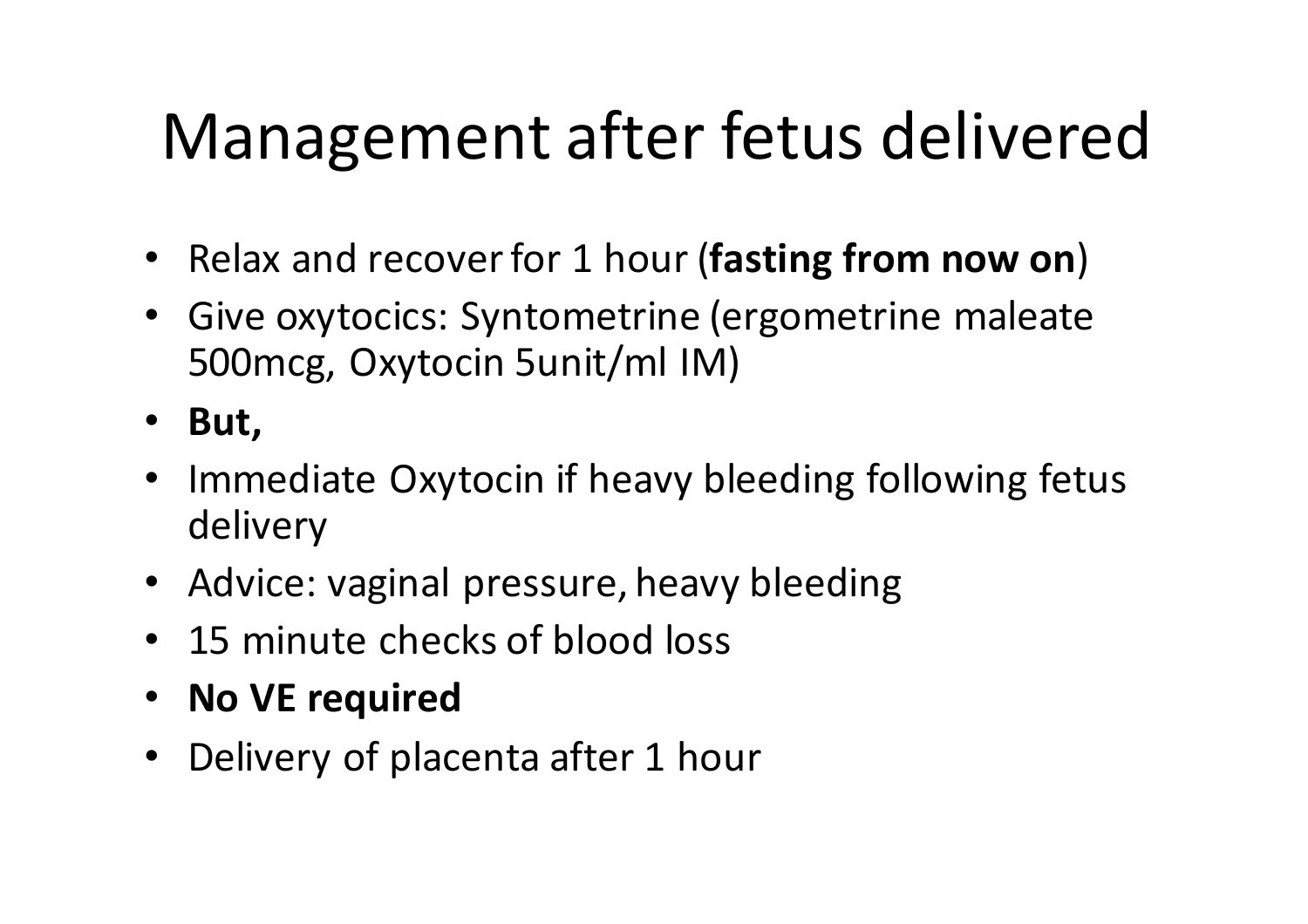## Management after fetus delivered

- Relax and recover for 1 hour (fasting from now on)
- Give oxytocics: Syntometrine (ergometrine maleate 500mcg, Oxytocin 5unit/ml IM)
- **But,**
- Immediate Oxytocin if heavy bleeding following fetus delivery
- Advice: vaginal pressure, heavy bleeding
- 15 minute checks of blood loss
- **No VE required**
- Delivery of placenta after 1 hour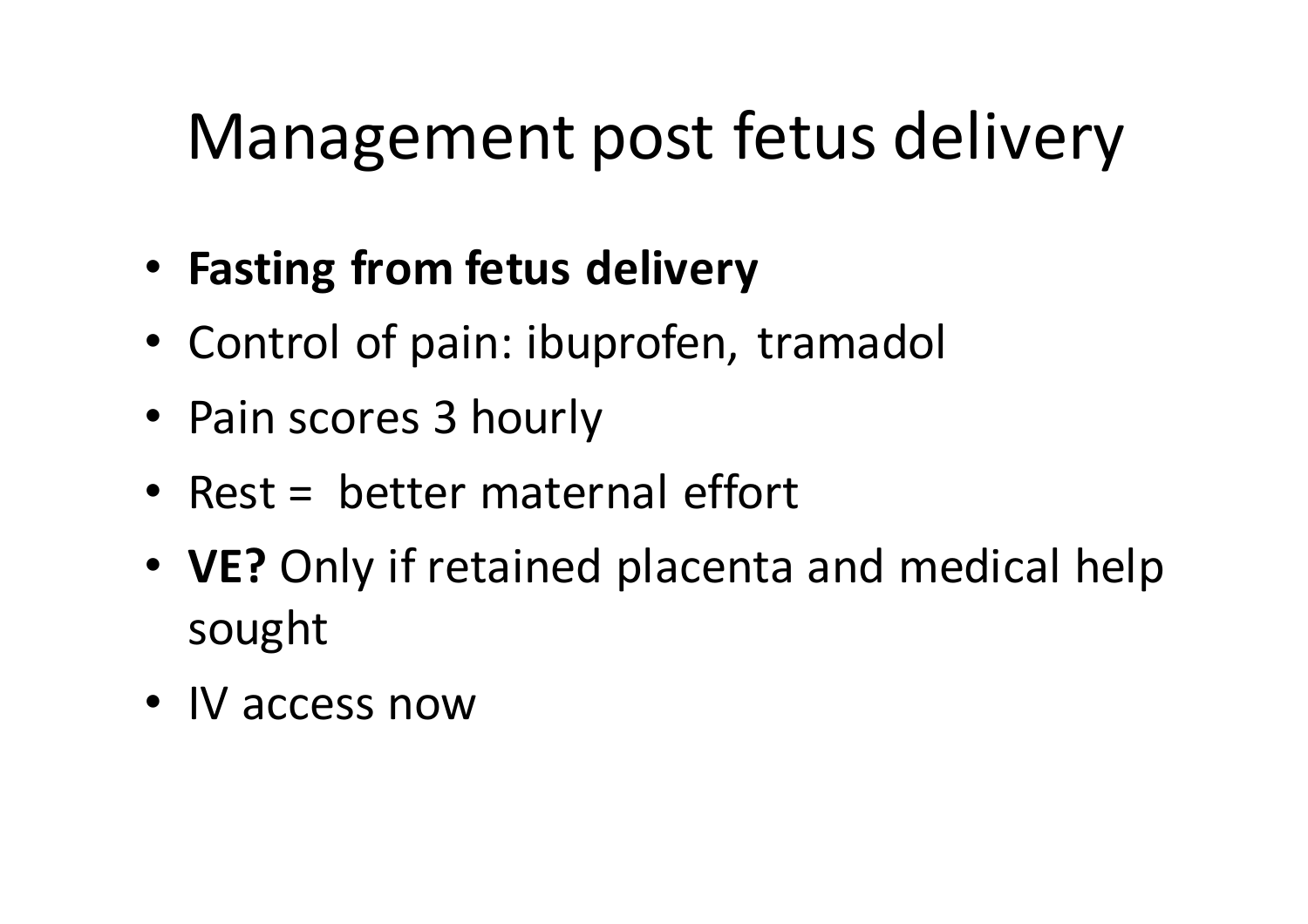### Management post fetus delivery

- **Fasting from fetus delivery**
- Control of pain: ibuprofen, tramadol
- Pain scores 3 hourly
- Rest  $=$  better maternal effort
- **VE?** Only if retained placenta and medical help sought
- IV access now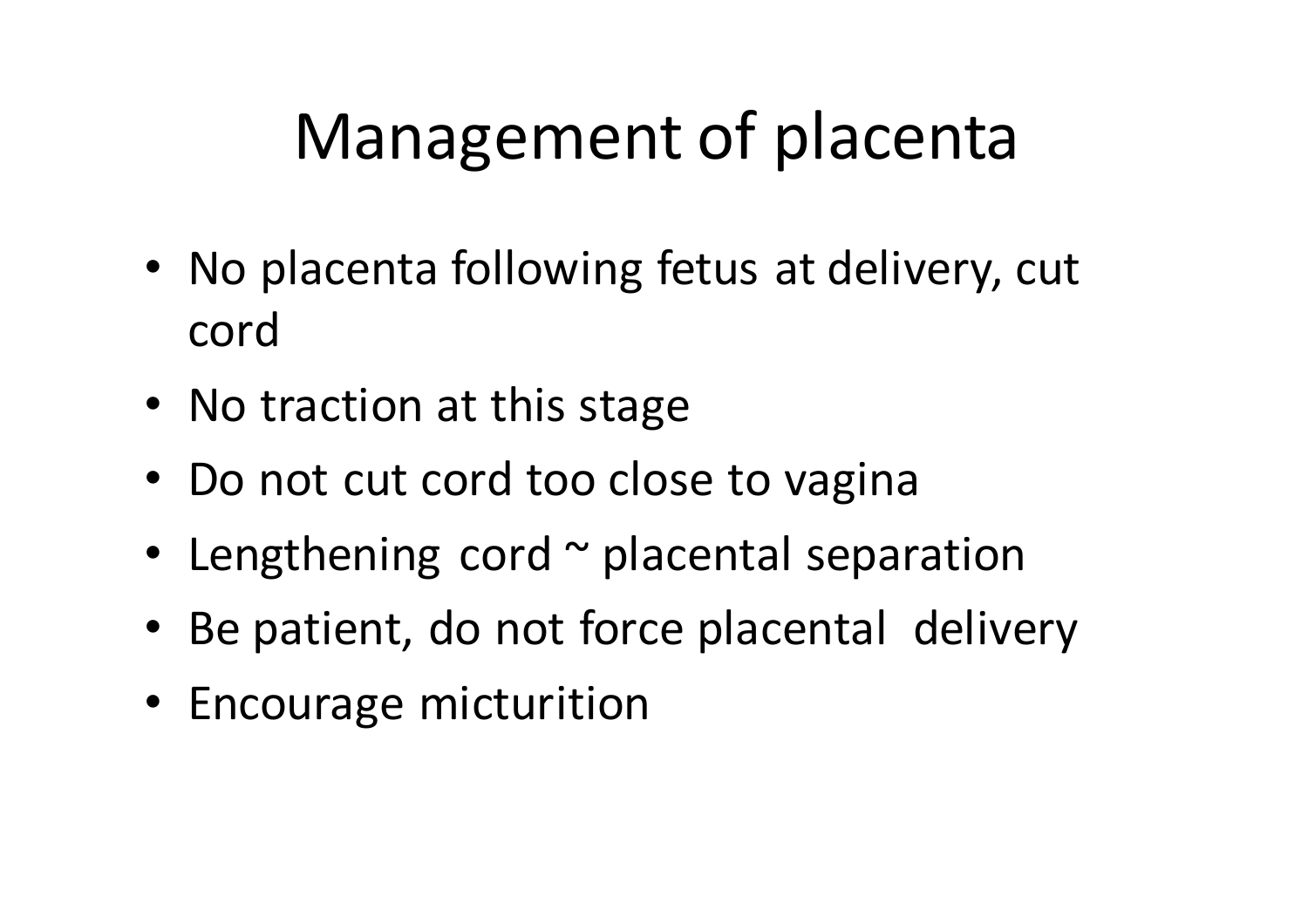## Management of placenta

- No placenta following fetus at delivery, cut cord
- No traction at this stage
- Do not cut cord too close to vagina
- Lengthening cord  $\sim$  placental separation
- Be patient, do not force placental delivery
- Encourage micturition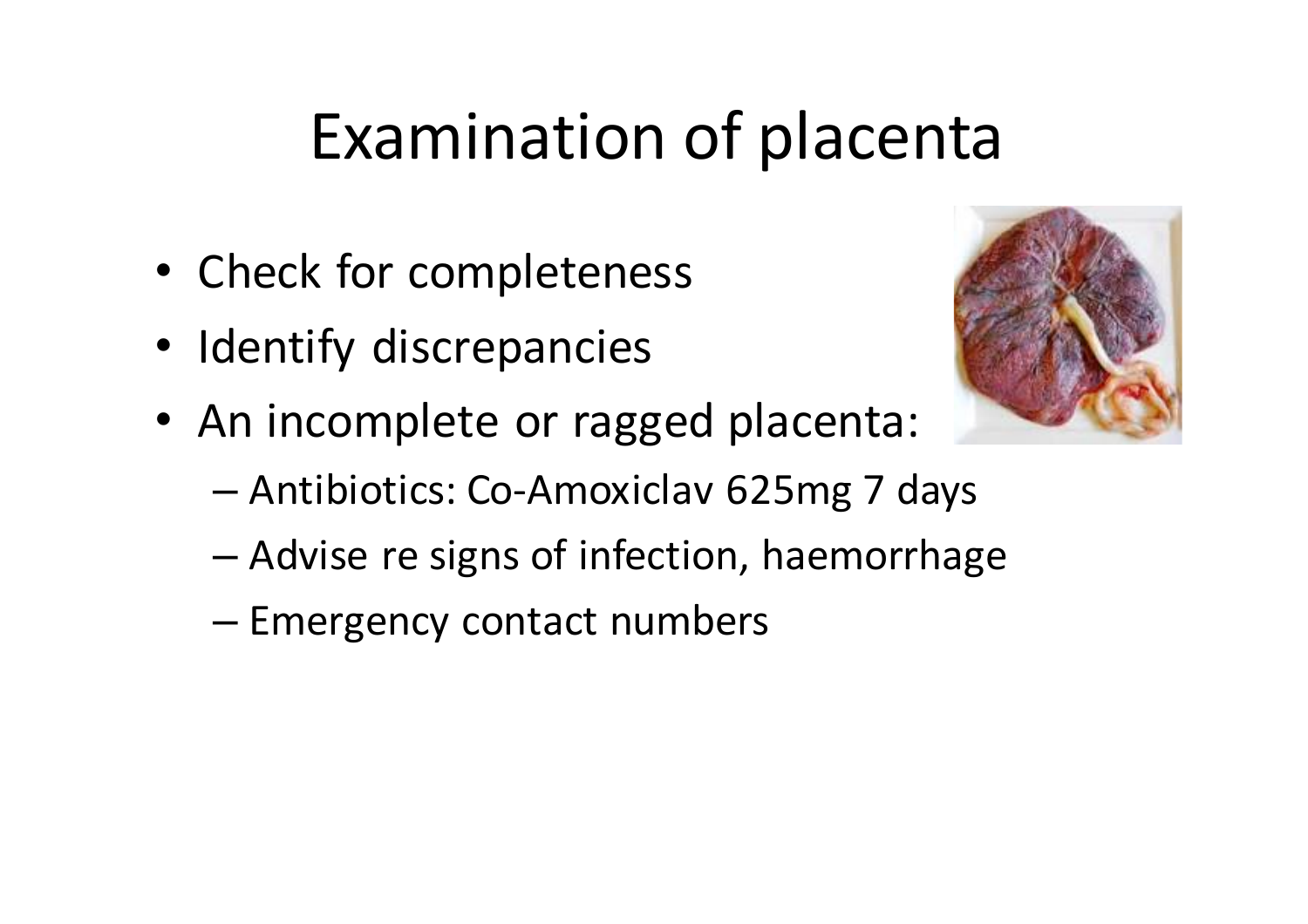### Examination of placenta

- Check for completeness
- Identify discrepancies



- An incomplete or ragged placenta:
	- Antibiotics: Co-Amoxiclav 625mg 7 days
	- Advise re signs of infection, haemorrhage
	- Emergency contact numbers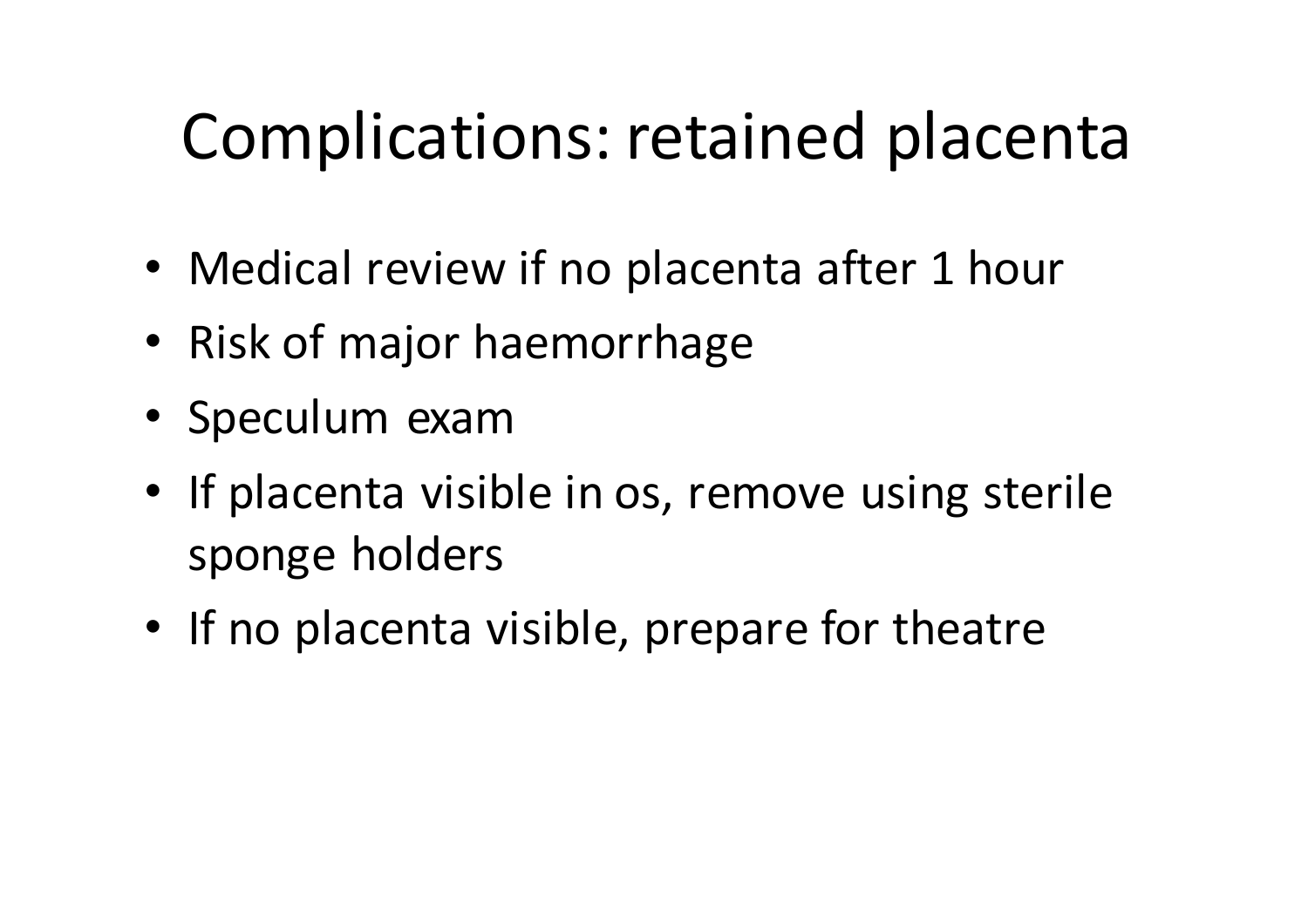### Complications: retained placenta

- Medical review if no placenta after 1 hour
- Risk of major haemorrhage
- Speculum exam
- If placenta visible in os, remove using sterile sponge holders
- If no placenta visible, prepare for theatre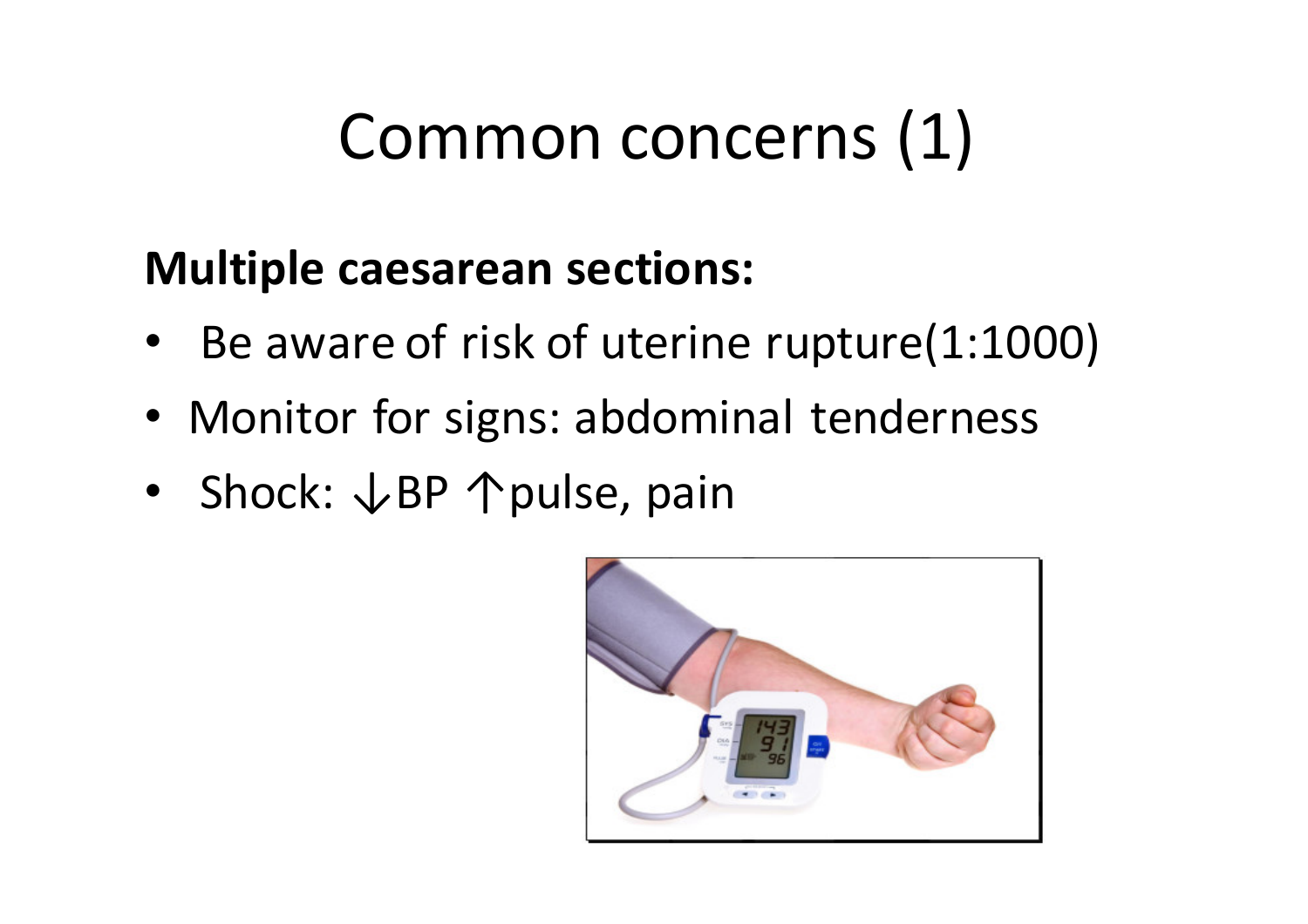#### Common concerns (1)

#### **Multiple caesarean sections:**

- Be aware of risk of uterine rupture(1:1000)
- Monitor for signs: abdominal tenderness
- Shock:  $\downarrow$ BP ↑ pulse, pain

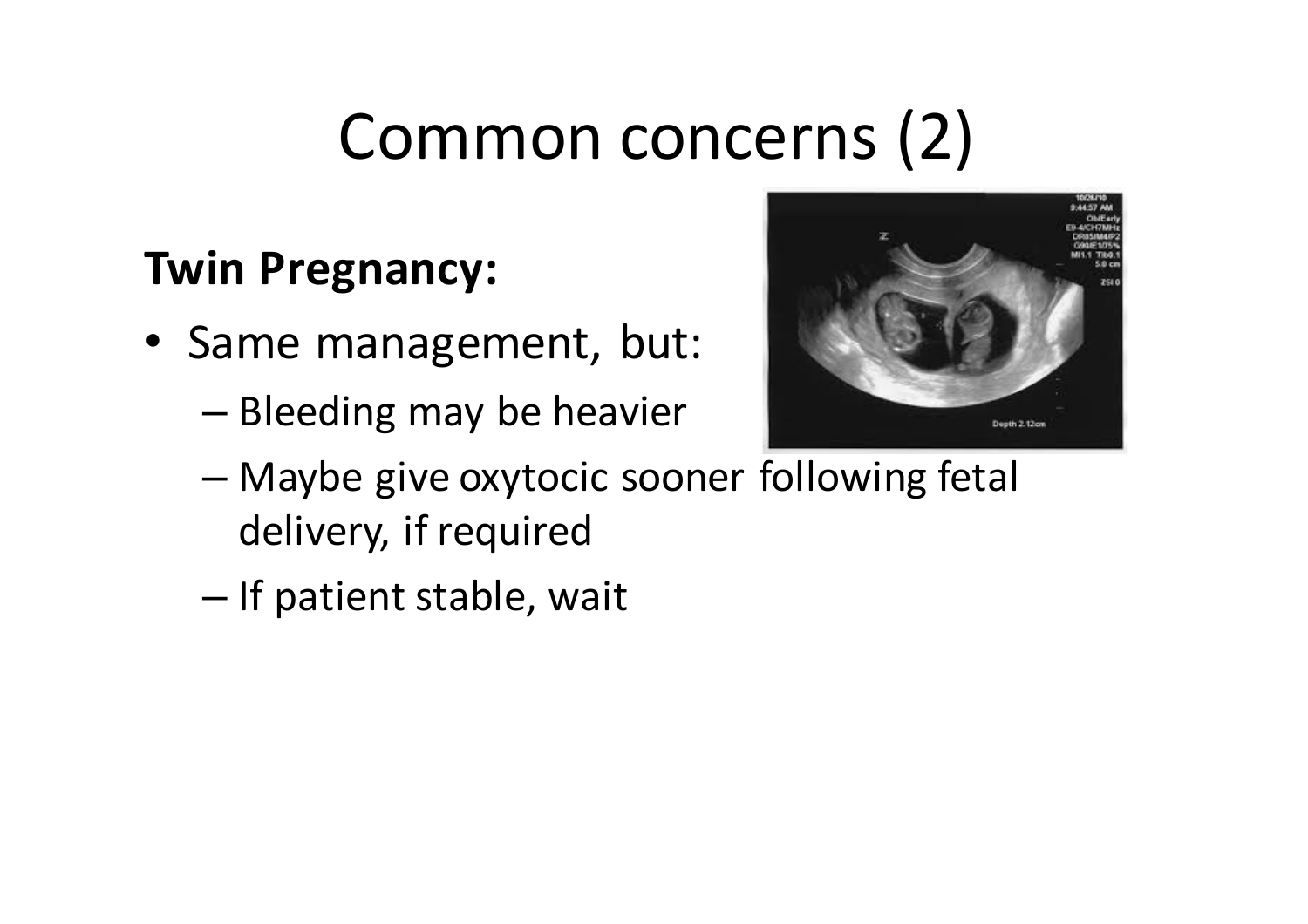### Common concerns (2)

#### **Twin Pregnancy:**

- Same management, but:
	- Bleeding may be heavier



- Maybe give oxytocic sooner following fetal delivery, if required
- $-$  If patient stable, wait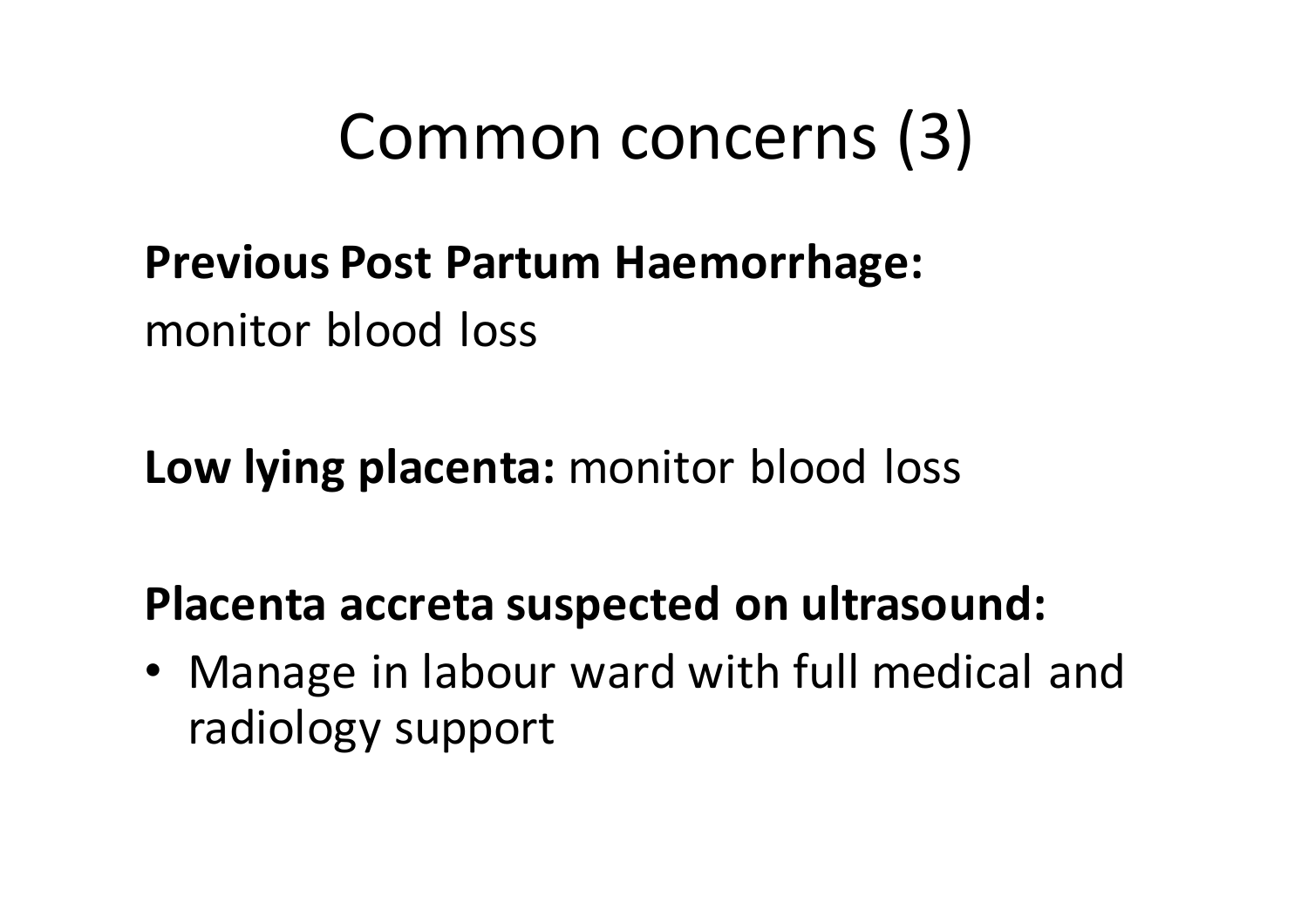#### Common concerns (3)

#### **Previous Post Partum Haemorrhage:** monitor blood loss

Low lying placenta: monitor blood loss

#### **Placenta accreta suspected on ultrasound:**

• Manage in labour ward with full medical and radiology support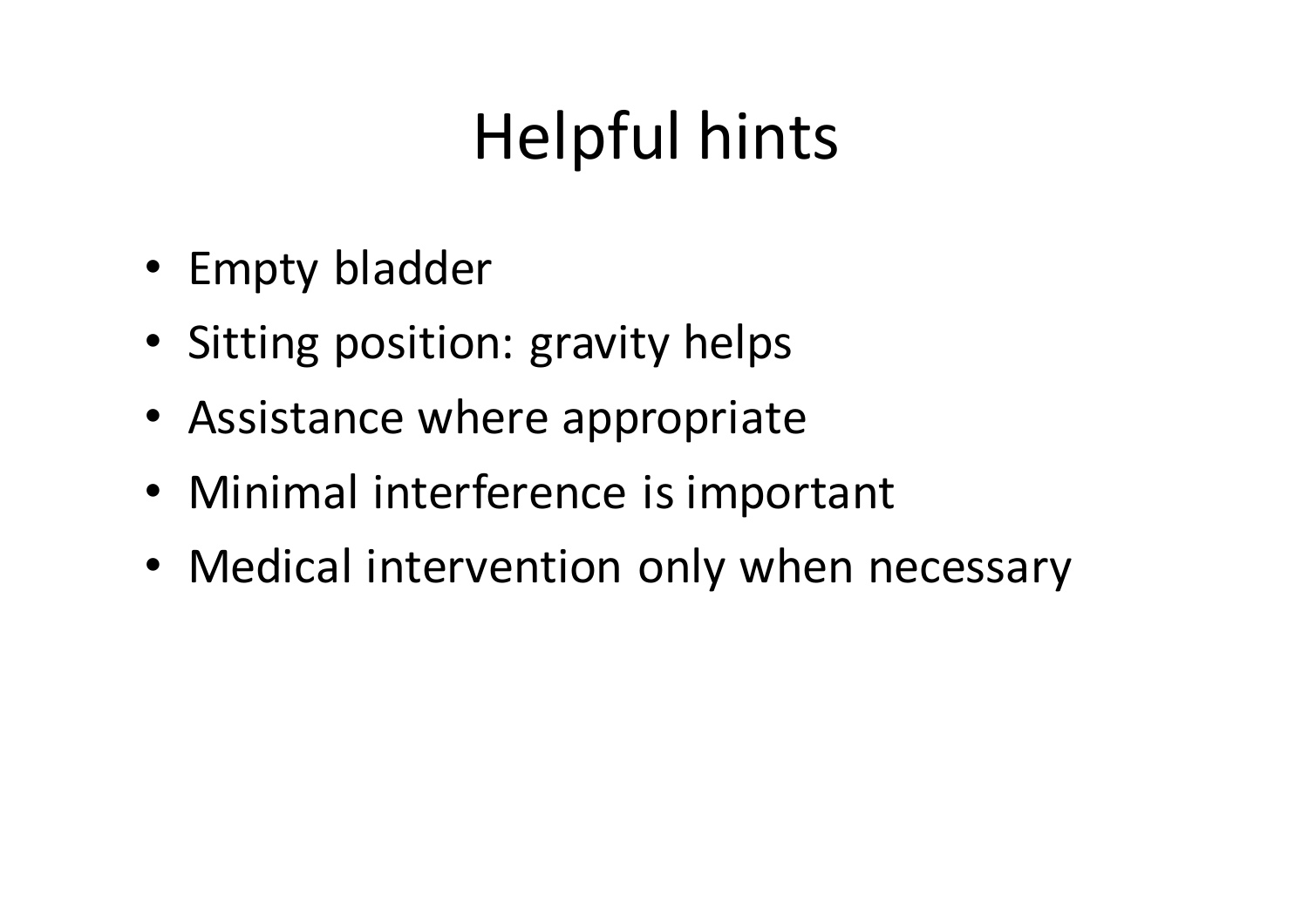# Helpful hints

- Empty bladder
- Sitting position: gravity helps
- Assistance where appropriate
- Minimal interference is important
- Medical intervention only when necessary